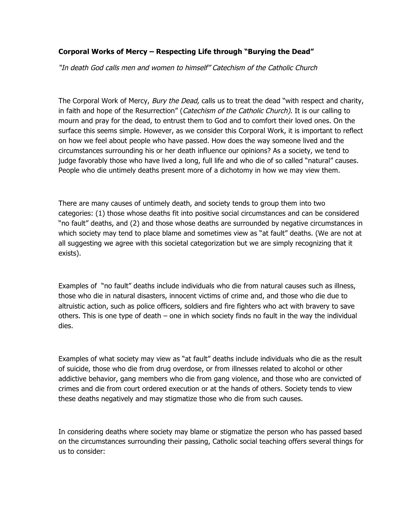## **Corporal Works of Mercy – Respecting Life through "Burying the Dead"**

"In death God calls men and women to himself" Catechism of the Catholic Church

The Corporal Work of Mercy, *Bury the Dead*, calls us to treat the dead "with respect and charity, in faith and hope of the Resurrection" (Catechism of the Catholic Church). It is our calling to mourn and pray for the dead, to entrust them to God and to comfort their loved ones. On the surface this seems simple. However, as we consider this Corporal Work, it is important to reflect on how we feel about people who have passed. How does the way someone lived and the circumstances surrounding his or her death influence our opinions? As a society, we tend to judge favorably those who have lived a long, full life and who die of so called "natural" causes. People who die untimely deaths present more of a dichotomy in how we may view them.

There are many causes of untimely death, and society tends to group them into two categories: (1) those whose deaths fit into positive social circumstances and can be considered "no fault" deaths, and (2) and those whose deaths are surrounded by negative circumstances in which society may tend to place blame and sometimes view as "at fault" deaths. (We are not at all suggesting we agree with this societal categorization but we are simply recognizing that it exists).

Examples of "no fault" deaths include individuals who die from natural causes such as illness, those who die in natural disasters, innocent victims of crime and, and those who die due to altruistic action, such as police officers, soldiers and fire fighters who act with bravery to save others. This is one type of death – one in which society finds no fault in the way the individual dies.

Examples of what society may view as "at fault" deaths include individuals who die as the result of suicide, those who die from drug overdose, or from illnesses related to alcohol or other addictive behavior, gang members who die from gang violence, and those who are convicted of crimes and die from court ordered execution or at the hands of others. Society tends to view these deaths negatively and may stigmatize those who die from such causes.

In considering deaths where society may blame or stigmatize the person who has passed based on the circumstances surrounding their passing, Catholic social teaching offers several things for us to consider: